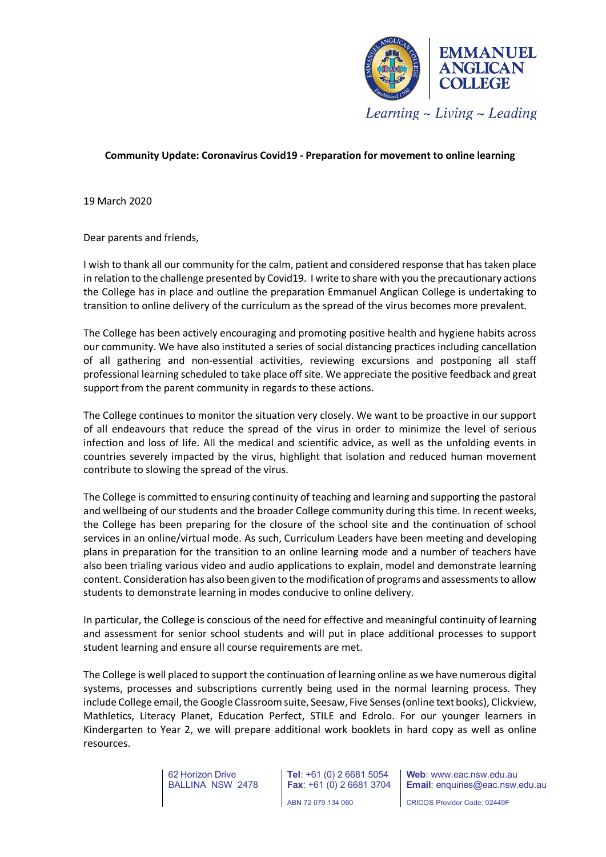

## **Community Update: Coronavirus Covid19 - Preparation for movement to online learning**

19 March 2020

Dear parents and friends,

I wish to thank all our community for the calm, patient and considered response that has taken place in relation to the challenge presented by Covid19. I write to share with you the precautionary actions the College has in place and outline the preparation Emmanuel Anglican College is undertaking to transition to online delivery of the curriculum as the spread of the virus becomes more prevalent.

The College has been actively encouraging and promoting positive health and hygiene habits across our community. We have also instituted a series of social distancing practices including cancellation of all gathering and non-essential activities, reviewing excursions and postponing all staff professional learning scheduled to take place off site. We appreciate the positive feedback and great support from the parent community in regards to these actions.

The College continues to monitor the situation very closely. We want to be proactive in our support of all endeavours that reduce the spread of the virus in order to minimize the level of serious infection and loss of life. All the medical and scientific advice, as well as the unfolding events in countries severely impacted by the virus, highlight that isolation and reduced human movement contribute to slowing the spread of the virus.

The College is committed to ensuring continuity of teaching and learning and supporting the pastoral and wellbeing of our students and the broader College community during this time. In recent weeks, the College has been preparing for the closure of the school site and the continuation of school services in an online/virtual mode. As such, Curriculum Leaders have been meeting and developing plans in preparation for the transition to an online learning mode and a number of teachers have also been trialing various video and audio applications to explain, model and demonstrate learning content. Consideration has also been given to the modification of programs and assessmentsto allow students to demonstrate learning in modes conducive to online delivery.

In particular, the College is conscious of the need for effective and meaningful continuity of learning and assessment for senior school students and will put in place additional processes to support student learning and ensure all course requirements are met.

The College is well placed to support the continuation of learning online as we have numerous digital systems, processes and subscriptions currently being used in the normal learning process. They include College email, the Google Classroom suite, Seesaw, Five Senses (online text books), Clickview, Mathletics, Literacy Planet, Education Perfect, STILE and Edrolo. For our younger learners in Kindergarten to Year 2, we will prepare additional work booklets in hard copy as well as online resources.

> 62 Horizon Drive BALLINA NSW 2478

**Tel**: +61 (0) 2 6681 5054 **Fax**: +61 (0) 2 6681 3704 ABN 72 079 134 060

**Web**: www.eac.nsw.edu.au **Email**: enquiries@eac.nsw.edu.au